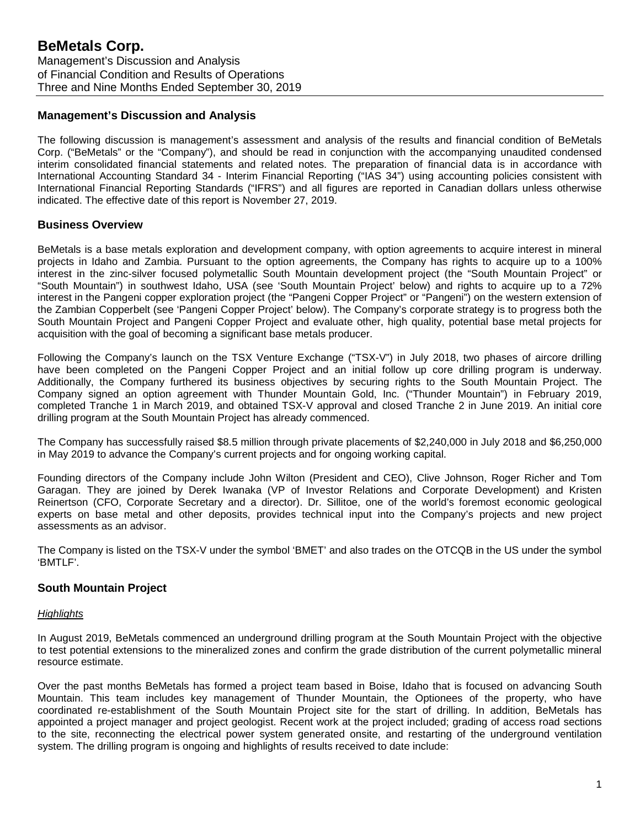## **Management's Discussion and Analysis**

The following discussion is management's assessment and analysis of the results and financial condition of BeMetals Corp. ("BeMetals" or the "Company"), and should be read in conjunction with the accompanying unaudited condensed interim consolidated financial statements and related notes. The preparation of financial data is in accordance with International Accounting Standard 34 - Interim Financial Reporting ("IAS 34") using accounting policies consistent with International Financial Reporting Standards ("IFRS") and all figures are reported in Canadian dollars unless otherwise indicated. The effective date of this report is November 27, 2019.

## **Business Overview**

BeMetals is a base metals exploration and development company, with option agreements to acquire interest in mineral projects in Idaho and Zambia. Pursuant to the option agreements, the Company has rights to acquire up to a 100% interest in the zinc-silver focused polymetallic South Mountain development project (the "South Mountain Project" or "South Mountain") in southwest Idaho, USA (see 'South Mountain Project' below) and rights to acquire up to a 72% interest in the Pangeni copper exploration project (the "Pangeni Copper Project" or "Pangeni") on the western extension of the Zambian Copperbelt (see 'Pangeni Copper Project' below). The Company's corporate strategy is to progress both the South Mountain Project and Pangeni Copper Project and evaluate other, high quality, potential base metal projects for acquisition with the goal of becoming a significant base metals producer.

Following the Company's launch on the TSX Venture Exchange ("TSX-V") in July 2018, two phases of aircore drilling have been completed on the Pangeni Copper Project and an initial follow up core drilling program is underway. Additionally, the Company furthered its business objectives by securing rights to the South Mountain Project. The Company signed an option agreement with Thunder Mountain Gold, Inc. ("Thunder Mountain") in February 2019, completed Tranche 1 in March 2019, and obtained TSX-V approval and closed Tranche 2 in June 2019. An initial core drilling program at the South Mountain Project has already commenced.

The Company has successfully raised \$8.5 million through private placements of \$2,240,000 in July 2018 and \$6,250,000 in May 2019 to advance the Company's current projects and for ongoing working capital.

Founding directors of the Company include John Wilton (President and CEO), Clive Johnson, Roger Richer and Tom Garagan. They are joined by Derek Iwanaka (VP of Investor Relations and Corporate Development) and Kristen Reinertson (CFO, Corporate Secretary and a director). Dr. Sillitoe, one of the world's foremost economic geological experts on base metal and other deposits, provides technical input into the Company's projects and new project assessments as an advisor.

The Company is listed on the TSX-V under the symbol 'BMET' and also trades on the OTCQB in the US under the symbol 'BMTLF'.

#### **South Mountain Project**

#### *Highlights*

In August 2019, BeMetals commenced an underground drilling program at the South Mountain Project with the objective to test potential extensions to the mineralized zones and confirm the grade distribution of the current polymetallic mineral resource estimate.

Over the past months BeMetals has formed a project team based in Boise, Idaho that is focused on advancing South Mountain. This team includes key management of Thunder Mountain, the Optionees of the property, who have coordinated re-establishment of the South Mountain Project site for the start of drilling. In addition, BeMetals has appointed a project manager and project geologist. Recent work at the project included; grading of access road sections to the site, reconnecting the electrical power system generated onsite, and restarting of the underground ventilation system. The drilling program is ongoing and highlights of results received to date include: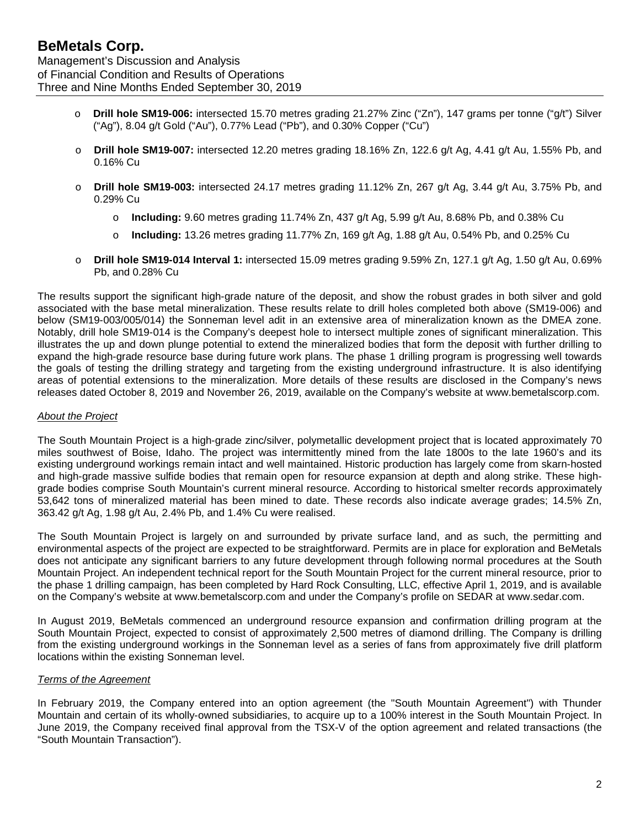Management's Discussion and Analysis of Financial Condition and Results of Operations Three and Nine Months Ended September 30, 2019

- o **Drill hole SM19-006:** intersected 15.70 metres grading 21.27% Zinc ("Zn"), 147 grams per tonne ("g/t") Silver ("Ag"), 8.04 g/t Gold ("Au"), 0.77% Lead ("Pb"), and 0.30% Copper ("Cu")
- o **Drill hole SM19-007:** intersected 12.20 metres grading 18.16% Zn, 122.6 g/t Ag, 4.41 g/t Au, 1.55% Pb, and 0.16% Cu
- o **Drill hole SM19-003:** intersected 24.17 metres grading 11.12% Zn, 267 g/t Ag, 3.44 g/t Au, 3.75% Pb, and 0.29% Cu
	- o **Including:** 9.60 metres grading 11.74% Zn, 437 g/t Ag, 5.99 g/t Au, 8.68% Pb, and 0.38% Cu
	- o **Including:** 13.26 metres grading 11.77% Zn, 169 g/t Ag, 1.88 g/t Au, 0.54% Pb, and 0.25% Cu
- o **Drill hole SM19-014 Interval 1:** intersected 15.09 metres grading 9.59% Zn, 127.1 g/t Ag, 1.50 g/t Au, 0.69% Pb, and 0.28% Cu

The results support the significant high-grade nature of the deposit, and show the robust grades in both silver and gold associated with the base metal mineralization. These results relate to drill holes completed both above (SM19-006) and below (SM19-003/005/014) the Sonneman level adit in an extensive area of mineralization known as the DMEA zone. Notably, drill hole SM19-014 is the Company's deepest hole to intersect multiple zones of significant mineralization. This illustrates the up and down plunge potential to extend the mineralized bodies that form the deposit with further drilling to expand the high-grade resource base during future work plans. The phase 1 drilling program is progressing well towards the goals of testing the drilling strategy and targeting from the existing underground infrastructure. It is also identifying areas of potential extensions to the mineralization. More details of these results are disclosed in the Company's news releases dated October 8, 2019 and November 26, 2019, available on the Company's website at www.bemetalscorp.com.

#### *About the Project*

The South Mountain Project is a high-grade zinc/silver, polymetallic development project that is located approximately 70 miles southwest of Boise, Idaho. The project was intermittently mined from the late 1800s to the late 1960's and its existing underground workings remain intact and well maintained. Historic production has largely come from skarn-hosted and high-grade massive sulfide bodies that remain open for resource expansion at depth and along strike. These highgrade bodies comprise South Mountain's current mineral resource. According to historical smelter records approximately 53,642 tons of mineralized material has been mined to date. These records also indicate average grades; 14.5% Zn, 363.42 g/t Ag, 1.98 g/t Au, 2.4% Pb, and 1.4% Cu were realised.

The South Mountain Project is largely on and surrounded by private surface land, and as such, the permitting and environmental aspects of the project are expected to be straightforward. Permits are in place for exploration and BeMetals does not anticipate any significant barriers to any future development through following normal procedures at the South Mountain Project. An independent technical report for the South Mountain Project for the current mineral resource, prior to the phase 1 drilling campaign, has been completed by Hard Rock Consulting, LLC, effective April 1, 2019, and is available on the Company's website at [www.bemetalscorp.com](http://www.bemetalscorp.com/) and under the Company's profile on SEDAR at [www.sedar.com.](http://www.sedar.com/)

In August 2019, BeMetals commenced an underground resource expansion and confirmation drilling program at the South Mountain Project, expected to consist of approximately 2,500 metres of diamond drilling. The Company is drilling from the existing underground workings in the Sonneman level as a series of fans from approximately five drill platform locations within the existing Sonneman level.

#### *Terms of the Agreement*

In February 2019, the Company entered into an option agreement (the "South Mountain Agreement") with Thunder Mountain and certain of its wholly-owned subsidiaries, to acquire up to a 100% interest in the South Mountain Project. In June 2019, the Company received final approval from the TSX-V of the option agreement and related transactions (the "South Mountain Transaction").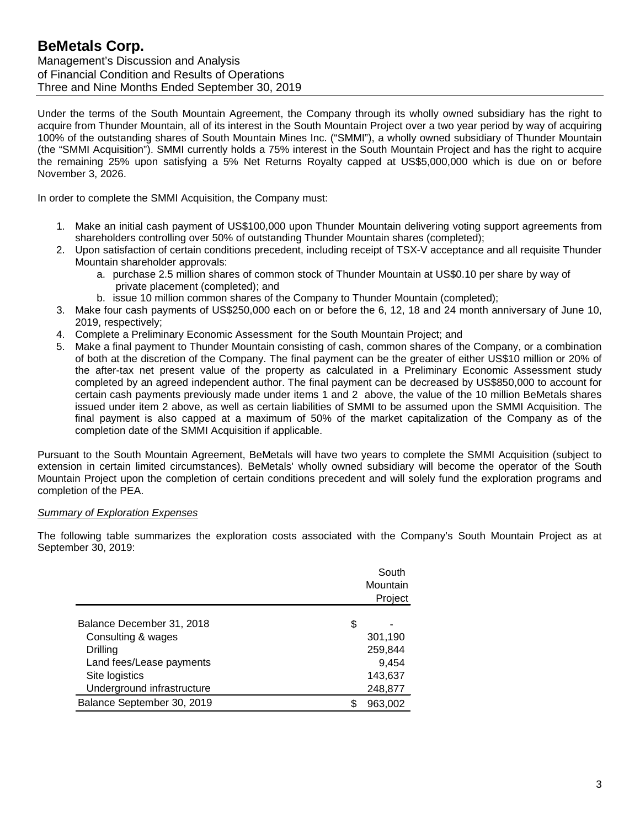Management's Discussion and Analysis of Financial Condition and Results of Operations Three and Nine Months Ended September 30, 2019

Under the terms of the South Mountain Agreement, the Company through its wholly owned subsidiary has the right to acquire from Thunder Mountain, all of its interest in the South Mountain Project over a two year period by way of acquiring 100% of the outstanding shares of South Mountain Mines Inc. ("SMMI"), a wholly owned subsidiary of Thunder Mountain (the "SMMI Acquisition"). SMMI currently holds a 75% interest in the South Mountain Project and has the right to acquire the remaining 25% upon satisfying a 5% Net Returns Royalty capped at US\$5,000,000 which is due on or before November 3, 2026.

In order to complete the SMMI Acquisition, the Company must:

- 1. Make an initial cash payment of US\$100,000 upon Thunder Mountain delivering voting support agreements from shareholders controlling over 50% of outstanding Thunder Mountain shares (completed);
- 2. Upon satisfaction of certain conditions precedent, including receipt of TSX-V acceptance and all requisite Thunder Mountain shareholder approvals:
	- a. purchase 2.5 million shares of common stock of Thunder Mountain at US\$0.10 per share by way of private placement (completed); and
	- b. issue 10 million common shares of the Company to Thunder Mountain (completed);
- 3. Make four cash payments of US\$250,000 each on or before the 6, 12, 18 and 24 month anniversary of June 10, 2019, respectively;
- 4. Complete a Preliminary Economic Assessment for the South Mountain Project; and
- 5. Make a final payment to Thunder Mountain consisting of cash, common shares of the Company, or a combination of both at the discretion of the Company. The final payment can be the greater of either US\$10 million or 20% of the after-tax net present value of the property as calculated in a Preliminary Economic Assessment study completed by an agreed independent author. The final payment can be decreased by US\$850,000 to account for certain cash payments previously made under items 1 and 2 above, the value of the 10 million BeMetals shares issued under item 2 above, as well as certain liabilities of SMMI to be assumed upon the SMMI Acquisition. The final payment is also capped at a maximum of 50% of the market capitalization of the Company as of the completion date of the SMMI Acquisition if applicable.

Pursuant to the South Mountain Agreement, BeMetals will have two years to complete the SMMI Acquisition (subject to extension in certain limited circumstances). BeMetals' wholly owned subsidiary will become the operator of the South Mountain Project upon the completion of certain conditions precedent and will solely fund the exploration programs and completion of the PEA.

#### *Summary of Exploration Expenses*

The following table summarizes the exploration costs associated with the Company's South Mountain Project as at September 30, 2019:

|                            |    | South<br>Mountain<br>Project |
|----------------------------|----|------------------------------|
| Balance December 31, 2018  | \$ |                              |
| Consulting & wages         |    | 301,190                      |
| Drilling                   |    | 259,844                      |
| Land fees/Lease payments   |    | 9,454                        |
| Site logistics             |    | 143,637                      |
| Underground infrastructure |    | 248,877                      |
| Balance September 30, 2019 | ß. | 963,002                      |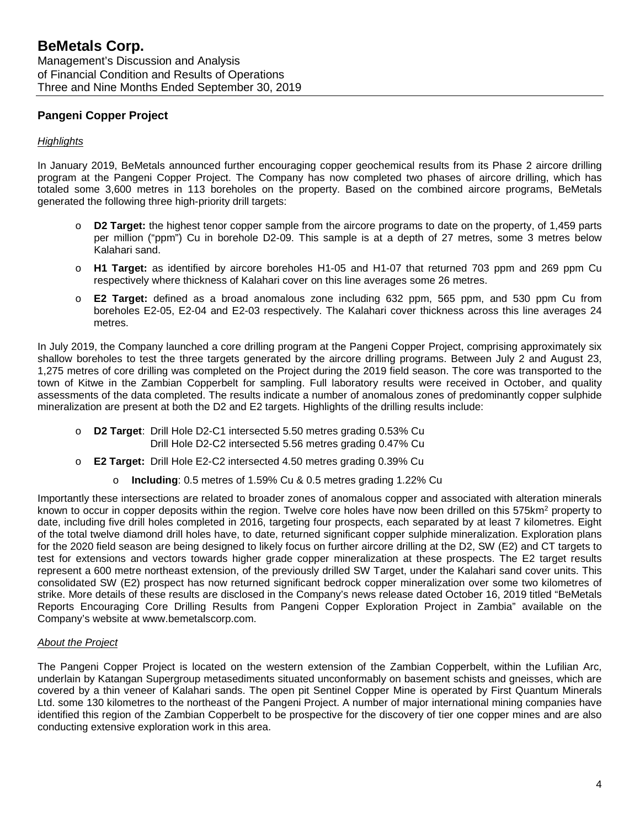# **Pangeni Copper Project**

#### *Highlights*

In January 2019, BeMetals announced further encouraging copper geochemical results from its Phase 2 aircore drilling program at the Pangeni Copper Project. The Company has now completed two phases of aircore drilling, which has totaled some 3,600 metres in 113 boreholes on the property. Based on the combined aircore programs, BeMetals generated the following three high-priority drill targets:

- o **D2 Target:** the highest tenor copper sample from the aircore programs to date on the property, of 1,459 parts per million ("ppm") Cu in borehole D2-09. This sample is at a depth of 27 metres, some 3 metres below Kalahari sand.
- o **H1 Target:** as identified by aircore boreholes H1-05 and H1-07 that returned 703 ppm and 269 ppm Cu respectively where thickness of Kalahari cover on this line averages some 26 metres.
- o **E2 Target:** defined as a broad anomalous zone including 632 ppm, 565 ppm, and 530 ppm Cu from boreholes E2-05, E2-04 and E2-03 respectively. The Kalahari cover thickness across this line averages 24 metres.

In July 2019, the Company launched a core drilling program at the Pangeni Copper Project, comprising approximately six shallow boreholes to test the three targets generated by the aircore drilling programs. Between July 2 and August 23, 1,275 metres of core drilling was completed on the Project during the 2019 field season. The core was transported to the town of Kitwe in the Zambian Copperbelt for sampling. Full laboratory results were received in October, and quality assessments of the data completed. The results indicate a number of anomalous zones of predominantly copper sulphide mineralization are present at both the D2 and E2 targets. Highlights of the drilling results include:

- o **D2 Target**: Drill Hole D2-C1 intersected 5.50 metres grading 0.53% Cu Drill Hole D2-C2 intersected 5.56 metres grading 0.47% Cu
- o **E2 Target:** Drill Hole E2-C2 intersected 4.50 metres grading 0.39% Cu
	- o **Including**: 0.5 metres of 1.59% Cu & 0.5 metres grading 1.22% Cu

Importantly these intersections are related to broader zones of anomalous copper and associated with alteration minerals known to occur in copper deposits within the region. Twelve core holes have now been drilled on this 575km<sup>2</sup> property to date, including five drill holes completed in 2016, targeting four prospects, each separated by at least 7 kilometres. Eight of the total twelve diamond drill holes have, to date, returned significant copper sulphide mineralization. Exploration plans for the 2020 field season are being designed to likely focus on further aircore drilling at the D2, SW (E2) and CT targets to test for extensions and vectors towards higher grade copper mineralization at these prospects. The E2 target results represent a 600 metre northeast extension, of the previously drilled SW Target, under the Kalahari sand cover units. This consolidated SW (E2) prospect has now returned significant bedrock copper mineralization over some two kilometres of strike. More details of these results are disclosed in the Company's news release dated October 16, 2019 titled "BeMetals Reports Encouraging Core Drilling Results from Pangeni Copper Exploration Project in Zambia" available on the Company's website at [www.bemetalscorp.com.](http://www.bemetalscorp.com/)

#### *About the Project*

The Pangeni Copper Project is located on the western extension of the Zambian Copperbelt, within the Lufilian Arc, underlain by Katangan Supergroup metasediments situated unconformably on basement schists and gneisses, which are covered by a thin veneer of Kalahari sands. The open pit Sentinel Copper Mine is operated by First Quantum Minerals Ltd. some 130 kilometres to the northeast of the Pangeni Project. A number of major international mining companies have identified this region of the Zambian Copperbelt to be prospective for the discovery of tier one copper mines and are also conducting extensive exploration work in this area.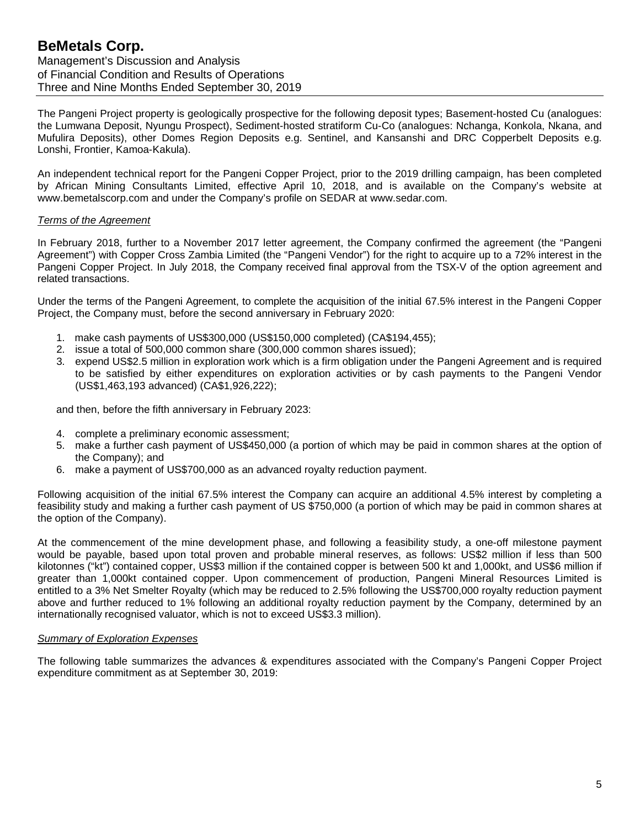# **BeMetals Corp.** Management's Discussion and Analysis of Financial Condition and Results of Operations Three and Nine Months Ended September 30, 2019

The Pangeni Project property is geologically prospective for the following deposit types; Basement-hosted Cu (analogues: the Lumwana Deposit, Nyungu Prospect), Sediment-hosted stratiform Cu-Co (analogues: Nchanga, Konkola, Nkana, and Mufulira Deposits), other Domes Region Deposits e.g. Sentinel, and Kansanshi and DRC Copperbelt Deposits e.g. Lonshi, Frontier, Kamoa-Kakula).

An independent technical report for the Pangeni Copper Project, prior to the 2019 drilling campaign, has been completed by African Mining Consultants Limited, effective April 10, 2018, and is available on the Company's website at www.bemetalscorp.com and under the Company's profile on SEDAR at www.sedar.com.

#### *Terms of the Agreement*

In February 2018, further to a November 2017 letter agreement, the Company confirmed the agreement (the "Pangeni Agreement") with Copper Cross Zambia Limited (the "Pangeni Vendor") for the right to acquire up to a 72% interest in the Pangeni Copper Project. In July 2018, the Company received final approval from the TSX-V of the option agreement and related transactions.

Under the terms of the Pangeni Agreement, to complete the acquisition of the initial 67.5% interest in the Pangeni Copper Project, the Company must, before the second anniversary in February 2020:

- 1. make cash payments of US\$300,000 (US\$150,000 completed) (CA\$194,455);
- 2. issue a total of 500,000 common share (300,000 common shares issued);
- 3. expend US\$2.5 million in exploration work which is a firm obligation under the Pangeni Agreement and is required to be satisfied by either expenditures on exploration activities or by cash payments to the Pangeni Vendor (US\$1,463,193 advanced) (CA\$1,926,222);

and then, before the fifth anniversary in February 2023:

- 4. complete a preliminary economic assessment;
- 5. make a further cash payment of US\$450,000 (a portion of which may be paid in common shares at the option of the Company); and
- 6. make a payment of US\$700,000 as an advanced royalty reduction payment.

Following acquisition of the initial 67.5% interest the Company can acquire an additional 4.5% interest by completing a feasibility study and making a further cash payment of US \$750,000 (a portion of which may be paid in common shares at the option of the Company).

At the commencement of the mine development phase, and following a feasibility study, a one-off milestone payment would be payable, based upon total proven and probable mineral reserves, as follows: US\$2 million if less than 500 kilotonnes ("kt") contained copper, US\$3 million if the contained copper is between 500 kt and 1,000kt, and US\$6 million if greater than 1,000kt contained copper. Upon commencement of production, Pangeni Mineral Resources Limited is entitled to a 3% Net Smelter Royalty (which may be reduced to 2.5% following the US\$700,000 royalty reduction payment above and further reduced to 1% following an additional royalty reduction payment by the Company, determined by an internationally recognised valuator, which is not to exceed US\$3.3 million).

#### *Summary of Exploration Expenses*

The following table summarizes the advances & expenditures associated with the Company's Pangeni Copper Project expenditure commitment as at September 30, 2019: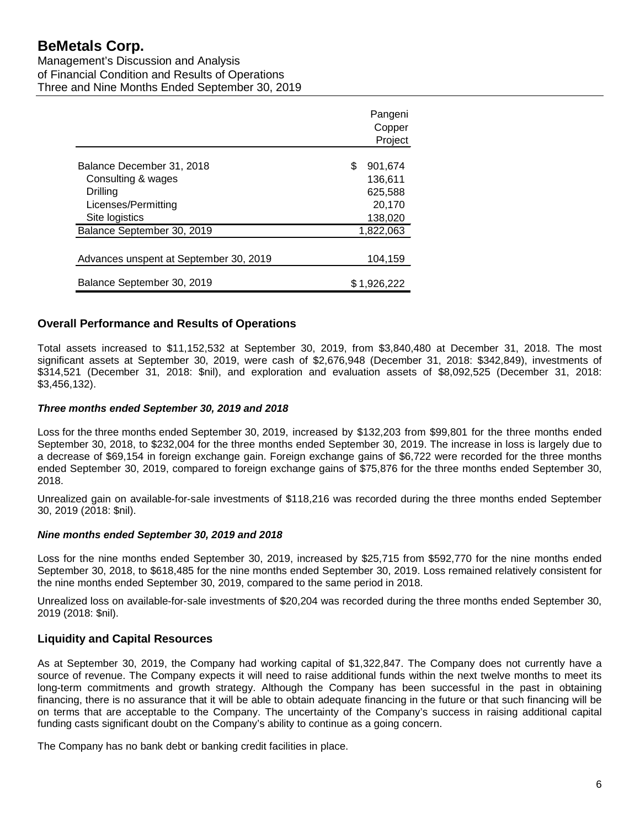Management's Discussion and Analysis of Financial Condition and Results of Operations Three and Nine Months Ended September 30, 2019

|                                        | Pangeni       |
|----------------------------------------|---------------|
|                                        | Copper        |
|                                        | Project       |
|                                        |               |
| Balance December 31, 2018              | \$<br>901,674 |
| Consulting & wages                     | 136,611       |
| Drilling                               | 625,588       |
| Licenses/Permitting                    | 20,170        |
| Site logistics                         | 138,020       |
| Balance September 30, 2019             | 1.822.063     |
|                                        |               |
| Advances unspent at September 30, 2019 | 104,159       |
|                                        |               |
| Balance September 30, 2019             | \$1.926.222   |

## **Overall Performance and Results of Operations**

Total assets increased to \$11,152,532 at September 30, 2019, from \$3,840,480 at December 31, 2018. The most significant assets at September 30, 2019, were cash of \$2,676,948 (December 31, 2018: \$342,849), investments of \$314,521 (December 31, 2018: \$nil), and exploration and evaluation assets of \$8,092,525 (December 31, 2018: \$3,456,132).

#### *Three months ended September 30, 2019 and 2018*

Loss for the three months ended September 30, 2019, increased by \$132,203 from \$99,801 for the three months ended September 30, 2018, to \$232,004 for the three months ended September 30, 2019. The increase in loss is largely due to a decrease of \$69,154 in foreign exchange gain. Foreign exchange gains of \$6,722 were recorded for the three months ended September 30, 2019, compared to foreign exchange gains of \$75,876 for the three months ended September 30, 2018.

Unrealized gain on available-for-sale investments of \$118,216 was recorded during the three months ended September 30, 2019 (2018: \$nil).

#### *Nine months ended September 30, 2019 and 2018*

Loss for the nine months ended September 30, 2019, increased by \$25,715 from \$592,770 for the nine months ended September 30, 2018, to \$618,485 for the nine months ended September 30, 2019. Loss remained relatively consistent for the nine months ended September 30, 2019, compared to the same period in 2018.

Unrealized loss on available-for-sale investments of \$20,204 was recorded during the three months ended September 30, 2019 (2018: \$nil).

#### **Liquidity and Capital Resources**

As at September 30, 2019, the Company had working capital of \$1,322,847. The Company does not currently have a source of revenue. The Company expects it will need to raise additional funds within the next twelve months to meet its long-term commitments and growth strategy. Although the Company has been successful in the past in obtaining financing, there is no assurance that it will be able to obtain adequate financing in the future or that such financing will be on terms that are acceptable to the Company. The uncertainty of the Company's success in raising additional capital funding casts significant doubt on the Company's ability to continue as a going concern.

The Company has no bank debt or banking credit facilities in place.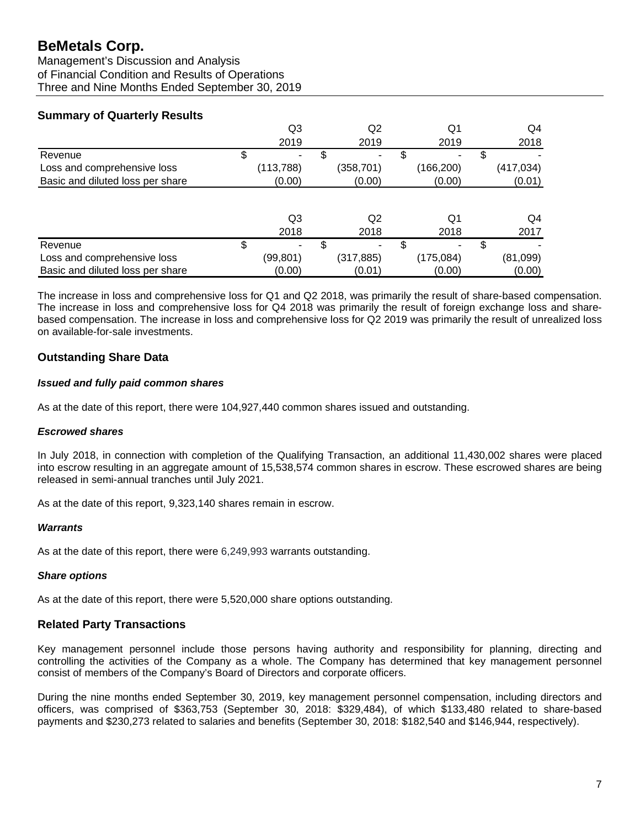Management's Discussion and Analysis of Financial Condition and Results of Operations Three and Nine Months Ended September 30, 2019

# **Summary of Quarterly Results**

|                                  | Q3         |   | Q <sub>2</sub> |   | Q1         |    | Q4         |
|----------------------------------|------------|---|----------------|---|------------|----|------------|
|                                  | 2019       |   | 2019           |   | 2019       |    | 2018       |
| Revenue                          | \$         | S | -              | S |            | S  |            |
| Loss and comprehensive loss      | (113, 788) |   | (358, 701)     |   | (166,200)  |    | (417, 034) |
| Basic and diluted loss per share | (0.00)     |   | (0.00)         |   | (0.00)     |    | (0.01)     |
|                                  |            |   |                |   |            |    |            |
|                                  | Q3         |   | Q2             |   | Q1         |    | Q4         |
|                                  | 2018       |   | 2018           |   | 2018       |    | 2017       |
| Revenue                          | \$         |   | ۰              |   |            | \$ |            |
| Loss and comprehensive loss      | (99,801)   |   | (317, 885)     |   | (175, 084) |    | (81,099)   |
| Basic and diluted loss per share | (0.00)     |   | (0.01)         |   | (0.00)     |    | (0.00)     |

The increase in loss and comprehensive loss for Q1 and Q2 2018, was primarily the result of share-based compensation. The increase in loss and comprehensive loss for Q4 2018 was primarily the result of foreign exchange loss and sharebased compensation. The increase in loss and comprehensive loss for Q2 2019 was primarily the result of unrealized loss on available-for-sale investments.

# **Outstanding Share Data**

## *Issued and fully paid common shares*

As at the date of this report, there were 104,927,440 common shares issued and outstanding.

#### *Escrowed shares*

In July 2018, in connection with completion of the Qualifying Transaction, an additional 11,430,002 shares were placed into escrow resulting in an aggregate amount of 15,538,574 common shares in escrow. These escrowed shares are being released in semi-annual tranches until July 2021.

As at the date of this report, 9,323,140 shares remain in escrow.

#### *Warrants*

As at the date of this report, there were 6,249,993 warrants outstanding.

# *Share options*

As at the date of this report, there were 5,520,000 share options outstanding.

# **Related Party Transactions**

Key management personnel include those persons having authority and responsibility for planning, directing and controlling the activities of the Company as a whole. The Company has determined that key management personnel consist of members of the Company's Board of Directors and corporate officers.

During the nine months ended September 30, 2019, key management personnel compensation, including directors and officers, was comprised of \$363,753 (September 30, 2018: \$329,484), of which \$133,480 related to share-based payments and \$230,273 related to salaries and benefits (September 30, 2018: \$182,540 and \$146,944, respectively).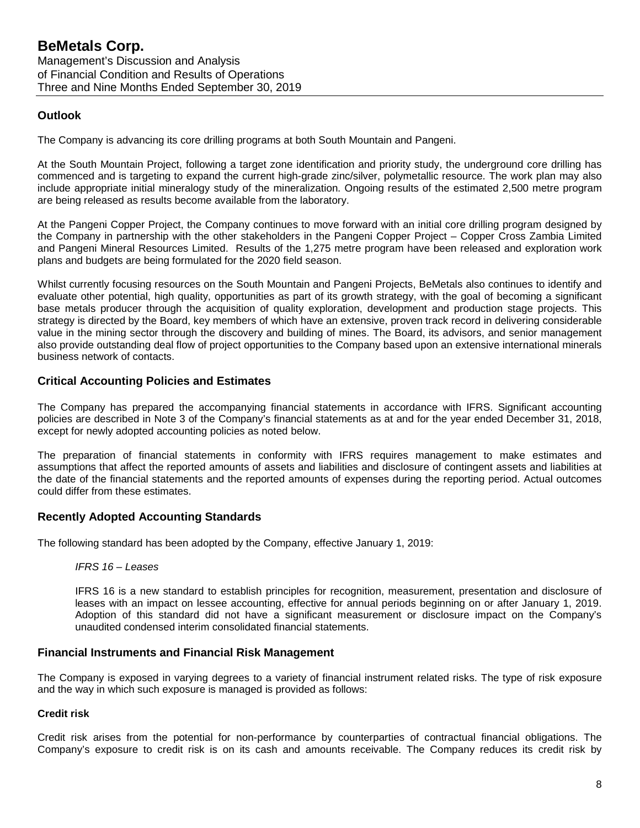# **Outlook**

The Company is advancing its core drilling programs at both South Mountain and Pangeni.

At the South Mountain Project, following a target zone identification and priority study, the underground core drilling has commenced and is targeting to expand the current high-grade zinc/silver, polymetallic resource. The work plan may also include appropriate initial mineralogy study of the mineralization. Ongoing results of the estimated 2,500 metre program are being released as results become available from the laboratory.

At the Pangeni Copper Project, the Company continues to move forward with an initial core drilling program designed by the Company in partnership with the other stakeholders in the Pangeni Copper Project – Copper Cross Zambia Limited and Pangeni Mineral Resources Limited. Results of the 1,275 metre program have been released and exploration work plans and budgets are being formulated for the 2020 field season.

Whilst currently focusing resources on the South Mountain and Pangeni Projects, BeMetals also continues to identify and evaluate other potential, high quality, opportunities as part of its growth strategy, with the goal of becoming a significant base metals producer through the acquisition of quality exploration, development and production stage projects. This strategy is directed by the Board, key members of which have an extensive, proven track record in delivering considerable value in the mining sector through the discovery and building of mines. The Board, its advisors, and senior management also provide outstanding deal flow of project opportunities to the Company based upon an extensive international minerals business network of contacts.

## **Critical Accounting Policies and Estimates**

The Company has prepared the accompanying financial statements in accordance with IFRS. Significant accounting policies are described in Note 3 of the Company's financial statements as at and for the year ended December 31, 2018, except for newly adopted accounting policies as noted below.

The preparation of financial statements in conformity with IFRS requires management to make estimates and assumptions that affect the reported amounts of assets and liabilities and disclosure of contingent assets and liabilities at the date of the financial statements and the reported amounts of expenses during the reporting period. Actual outcomes could differ from these estimates.

# **Recently Adopted Accounting Standards**

The following standard has been adopted by the Company, effective January 1, 2019:

#### *IFRS 16 – Leases*

IFRS 16 is a new standard to establish principles for recognition, measurement, presentation and disclosure of leases with an impact on lessee accounting, effective for annual periods beginning on or after January 1, 2019. Adoption of this standard did not have a significant measurement or disclosure impact on the Company's unaudited condensed interim consolidated financial statements.

#### **Financial Instruments and Financial Risk Management**

The Company is exposed in varying degrees to a variety of financial instrument related risks. The type of risk exposure and the way in which such exposure is managed is provided as follows:

#### **Credit risk**

Credit risk arises from the potential for non-performance by counterparties of contractual financial obligations. The Company's exposure to credit risk is on its cash and amounts receivable. The Company reduces its credit risk by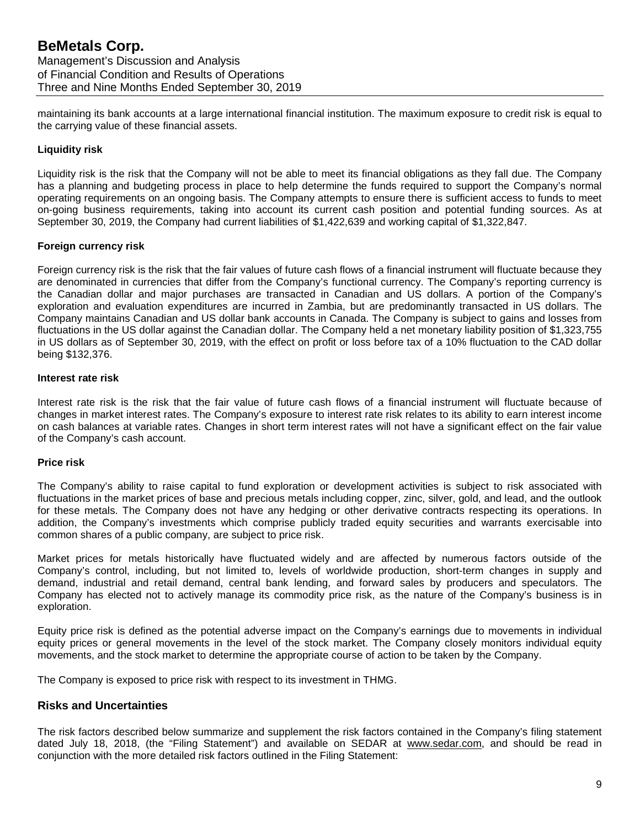maintaining its bank accounts at a large international financial institution. The maximum exposure to credit risk is equal to the carrying value of these financial assets.

#### **Liquidity risk**

Liquidity risk is the risk that the Company will not be able to meet its financial obligations as they fall due. The Company has a planning and budgeting process in place to help determine the funds required to support the Company's normal operating requirements on an ongoing basis. The Company attempts to ensure there is sufficient access to funds to meet on-going business requirements, taking into account its current cash position and potential funding sources. As at September 30, 2019, the Company had current liabilities of \$1,422,639 and working capital of \$1,322,847.

#### **Foreign currency risk**

Foreign currency risk is the risk that the fair values of future cash flows of a financial instrument will fluctuate because they are denominated in currencies that differ from the Company's functional currency. The Company's reporting currency is the Canadian dollar and major purchases are transacted in Canadian and US dollars. A portion of the Company's exploration and evaluation expenditures are incurred in Zambia, but are predominantly transacted in US dollars. The Company maintains Canadian and US dollar bank accounts in Canada. The Company is subject to gains and losses from fluctuations in the US dollar against the Canadian dollar. The Company held a net monetary liability position of \$1,323,755 in US dollars as of September 30, 2019, with the effect on profit or loss before tax of a 10% fluctuation to the CAD dollar being \$132,376.

#### **Interest rate risk**

Interest rate risk is the risk that the fair value of future cash flows of a financial instrument will fluctuate because of changes in market interest rates. The Company's exposure to interest rate risk relates to its ability to earn interest income on cash balances at variable rates. Changes in short term interest rates will not have a significant effect on the fair value of the Company's cash account.

#### **Price risk**

The Company's ability to raise capital to fund exploration or development activities is subject to risk associated with fluctuations in the market prices of base and precious metals including copper, zinc, silver, gold, and lead, and the outlook for these metals. The Company does not have any hedging or other derivative contracts respecting its operations. In addition, the Company's investments which comprise publicly traded equity securities and warrants exercisable into common shares of a public company, are subject to price risk.

Market prices for metals historically have fluctuated widely and are affected by numerous factors outside of the Company's control, including, but not limited to, levels of worldwide production, short-term changes in supply and demand, industrial and retail demand, central bank lending, and forward sales by producers and speculators. The Company has elected not to actively manage its commodity price risk, as the nature of the Company's business is in exploration.

Equity price risk is defined as the potential adverse impact on the Company's earnings due to movements in individual equity prices or general movements in the level of the stock market. The Company closely monitors individual equity movements, and the stock market to determine the appropriate course of action to be taken by the Company.

The Company is exposed to price risk with respect to its investment in THMG.

#### **Risks and Uncertainties**

The risk factors described below summarize and supplement the risk factors contained in the Company's filing statement dated July 18, 2018, (the "Filing Statement") and available on SEDAR at [www.sedar.com,](http://www.sedar.com/) and should be read in conjunction with the more detailed risk factors outlined in the Filing Statement: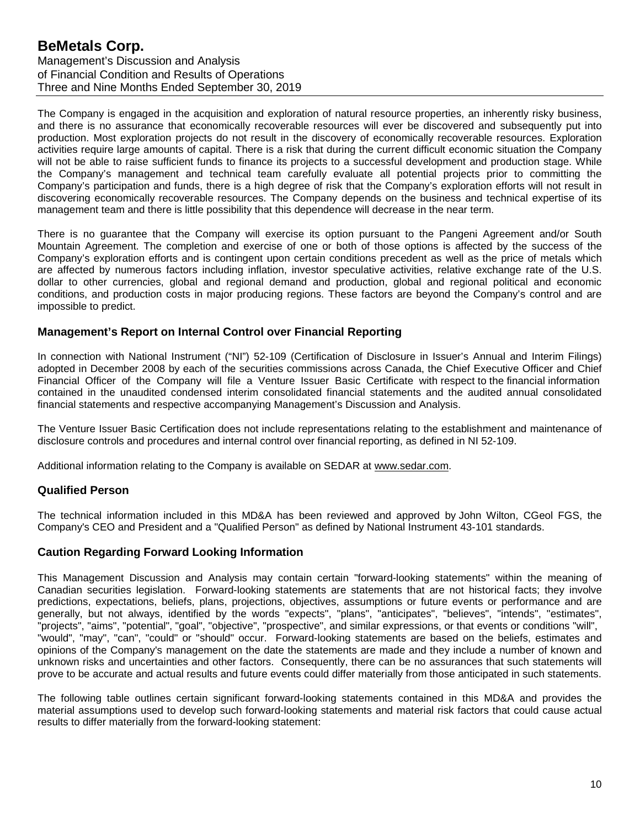# **BeMetals Corp.** Management's Discussion and Analysis of Financial Condition and Results of Operations Three and Nine Months Ended September 30, 2019

The Company is engaged in the acquisition and exploration of natural resource properties, an inherently risky business, and there is no assurance that economically recoverable resources will ever be discovered and subsequently put into production. Most exploration projects do not result in the discovery of economically recoverable resources. Exploration activities require large amounts of capital. There is a risk that during the current difficult economic situation the Company will not be able to raise sufficient funds to finance its projects to a successful development and production stage. While the Company's management and technical team carefully evaluate all potential projects prior to committing the Company's participation and funds, there is a high degree of risk that the Company's exploration efforts will not result in discovering economically recoverable resources. The Company depends on the business and technical expertise of its management team and there is little possibility that this dependence will decrease in the near term.

There is no guarantee that the Company will exercise its option pursuant to the Pangeni Agreement and/or South Mountain Agreement. The completion and exercise of one or both of those options is affected by the success of the Company's exploration efforts and is contingent upon certain conditions precedent as well as the price of metals which are affected by numerous factors including inflation, investor speculative activities, relative exchange rate of the U.S. dollar to other currencies, global and regional demand and production, global and regional political and economic conditions, and production costs in major producing regions. These factors are beyond the Company's control and are impossible to predict.

## **Management's Report on Internal Control over Financial Reporting**

In connection with National Instrument ("NI") 52-109 (Certification of Disclosure in Issuer's Annual and Interim Filings) adopted in December 2008 by each of the securities commissions across Canada, the Chief Executive Officer and Chief Financial Officer of the Company will file a Venture Issuer Basic Certificate with respect to the financial information contained in the unaudited condensed interim consolidated financial statements and the audited annual consolidated financial statements and respective accompanying Management's Discussion and Analysis.

The Venture Issuer Basic Certification does not include representations relating to the establishment and maintenance of disclosure controls and procedures and internal control over financial reporting, as defined in NI 52-109.

Additional information relating to the Company is available on SEDAR at [www.sedar.com.](http://www.sedar.com/)

# **Qualified Person**

The technical information included in this MD&A has been reviewed and approved by John Wilton, CGeol FGS, the Company's CEO and President and a "Qualified Person" as defined by National Instrument 43-101 standards.

## **Caution Regarding Forward Looking Information**

This Management Discussion and Analysis may contain certain "forward-looking statements" within the meaning of Canadian securities legislation. Forward-looking statements are statements that are not historical facts; they involve predictions, expectations, beliefs, plans, projections, objectives, assumptions or future events or performance and are generally, but not always, identified by the words "expects", "plans", "anticipates", "believes", "intends", "estimates", "projects", "aims", "potential", "goal", "objective", "prospective", and similar expressions, or that events or conditions "will", "would", "may", "can", "could" or "should" occur. Forward-looking statements are based on the beliefs, estimates and opinions of the Company's management on the date the statements are made and they include a number of known and unknown risks and uncertainties and other factors. Consequently, there can be no assurances that such statements will prove to be accurate and actual results and future events could differ materially from those anticipated in such statements.

The following table outlines certain significant forward-looking statements contained in this MD&A and provides the material assumptions used to develop such forward-looking statements and material risk factors that could cause actual results to differ materially from the forward-looking statement: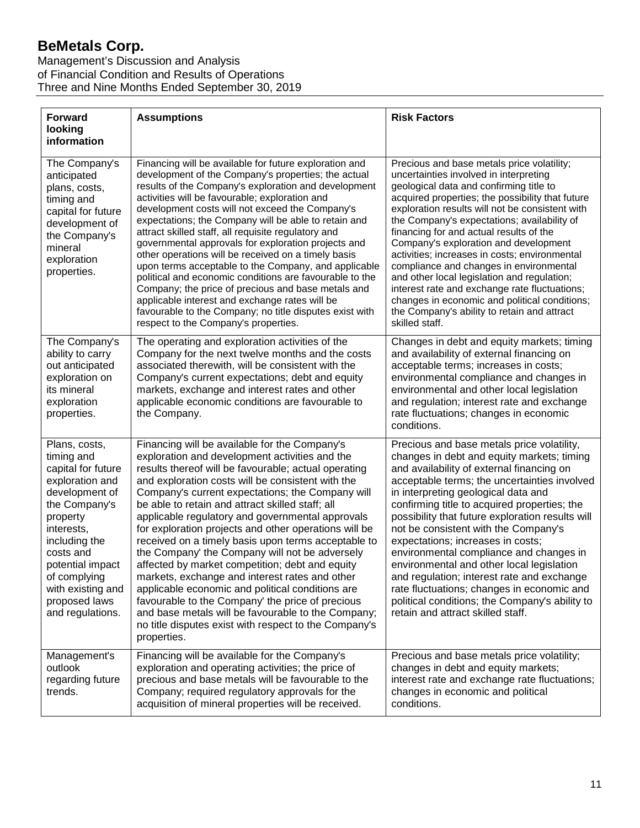Management's Discussion and Analysis of Financial Condition and Results of Operations Three and Nine Months Ended September 30, 2019

| <b>Forward</b><br>looking<br>information                                                                                                                                                                                                                      | <b>Assumptions</b>                                                                                                                                                                                                                                                                                                                                                                                                                                                                                                                                                                                                                                                                                                                                                                                                                                                                    | <b>Risk Factors</b>                                                                                                                                                                                                                                                                                                                                                                                                                                                                                                                                                                                                                                                                      |
|---------------------------------------------------------------------------------------------------------------------------------------------------------------------------------------------------------------------------------------------------------------|---------------------------------------------------------------------------------------------------------------------------------------------------------------------------------------------------------------------------------------------------------------------------------------------------------------------------------------------------------------------------------------------------------------------------------------------------------------------------------------------------------------------------------------------------------------------------------------------------------------------------------------------------------------------------------------------------------------------------------------------------------------------------------------------------------------------------------------------------------------------------------------|------------------------------------------------------------------------------------------------------------------------------------------------------------------------------------------------------------------------------------------------------------------------------------------------------------------------------------------------------------------------------------------------------------------------------------------------------------------------------------------------------------------------------------------------------------------------------------------------------------------------------------------------------------------------------------------|
| The Company's<br>anticipated<br>plans, costs,<br>timing and<br>capital for future<br>development of<br>the Company's<br>mineral<br>exploration<br>properties.                                                                                                 | Financing will be available for future exploration and<br>development of the Company's properties; the actual<br>results of the Company's exploration and development<br>activities will be favourable; exploration and<br>development costs will not exceed the Company's<br>expectations; the Company will be able to retain and<br>attract skilled staff, all requisite regulatory and<br>governmental approvals for exploration projects and<br>other operations will be received on a timely basis<br>upon terms acceptable to the Company, and applicable<br>political and economic conditions are favourable to the<br>Company; the price of precious and base metals and<br>applicable interest and exchange rates will be<br>favourable to the Company; no title disputes exist with<br>respect to the Company's properties.                                                 | Precious and base metals price volatility;<br>uncertainties involved in interpreting<br>geological data and confirming title to<br>acquired properties; the possibility that future<br>exploration results will not be consistent with<br>the Company's expectations; availability of<br>financing for and actual results of the<br>Company's exploration and development<br>activities; increases in costs; environmental<br>compliance and changes in environmental<br>and other local legislation and regulation;<br>interest rate and exchange rate fluctuations;<br>changes in economic and political conditions;<br>the Company's ability to retain and attract<br>skilled staff.  |
| The Company's<br>ability to carry<br>out anticipated<br>exploration on<br>its mineral<br>exploration<br>properties.                                                                                                                                           | The operating and exploration activities of the<br>Company for the next twelve months and the costs<br>associated therewith, will be consistent with the<br>Company's current expectations; debt and equity<br>markets, exchange and interest rates and other<br>applicable economic conditions are favourable to<br>the Company.                                                                                                                                                                                                                                                                                                                                                                                                                                                                                                                                                     | Changes in debt and equity markets; timing<br>and availability of external financing on<br>acceptable terms; increases in costs;<br>environmental compliance and changes in<br>environmental and other local legislation<br>and regulation; interest rate and exchange<br>rate fluctuations; changes in economic<br>conditions.                                                                                                                                                                                                                                                                                                                                                          |
| Plans, costs,<br>timing and<br>capital for future<br>exploration and<br>development of<br>the Company's<br>property<br>interests,<br>including the<br>costs and<br>potential impact<br>of complying<br>with existing and<br>proposed laws<br>and regulations. | Financing will be available for the Company's<br>exploration and development activities and the<br>results thereof will be favourable; actual operating<br>and exploration costs will be consistent with the<br>Company's current expectations; the Company will<br>be able to retain and attract skilled staff; all<br>applicable regulatory and governmental approvals<br>for exploration projects and other operations will be<br>received on a timely basis upon terms acceptable to<br>the Company' the Company will not be adversely<br>affected by market competition; debt and equity<br>markets, exchange and interest rates and other<br>applicable economic and political conditions are<br>favourable to the Company' the price of precious<br>and base metals will be favourable to the Company;<br>no title disputes exist with respect to the Company's<br>properties. | Precious and base metals price volatility,<br>changes in debt and equity markets; timing<br>and availability of external financing on<br>acceptable terms; the uncertainties involved<br>in interpreting geological data and<br>confirming title to acquired properties; the<br>possibility that future exploration results will<br>not be consistent with the Company's<br>expectations; increases in costs;<br>environmental compliance and changes in<br>environmental and other local legislation<br>and regulation; interest rate and exchange<br>rate fluctuations; changes in economic and<br>political conditions; the Company's ability to<br>retain and attract skilled staff. |
| Management's<br>outlook<br>regarding future<br>trends.                                                                                                                                                                                                        | Financing will be available for the Company's<br>exploration and operating activities; the price of<br>precious and base metals will be favourable to the<br>Company; required regulatory approvals for the<br>acquisition of mineral properties will be received.                                                                                                                                                                                                                                                                                                                                                                                                                                                                                                                                                                                                                    | Precious and base metals price volatility;<br>changes in debt and equity markets;<br>interest rate and exchange rate fluctuations;<br>changes in economic and political<br>conditions.                                                                                                                                                                                                                                                                                                                                                                                                                                                                                                   |